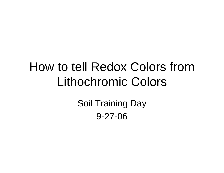# How to tell Redox Colors from Lithochromic Colors

Soil Training Day 9-27-06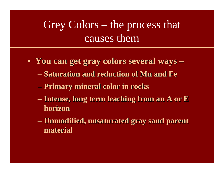## Grey Colors – the process that causes them

- You can get gray colors several ways *Nou* **–**
	- **Saturation and reduction of Saturation and reduction of Mn and Fe**
	- **Primary mineral color in rocks Primary mineral color in rocks**
	- **Intense, long term leaching from an A or E Intense, long term leaching from an A or E horizon horizon**
	- **Unmodified, unsaturated gray sand parent material material**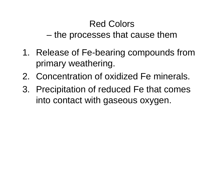#### Red Colors and the state of the the processes that cause them

- 1. Release of Fe-bearing compounds from primary weathering.
- 2. Concentration of oxidized Fe minerals.
- 3. Precipitation of reduced Fe that comes into contact with gaseous oxygen.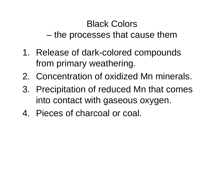#### Black Colors and the state of the the processes that cause them

- 1. Release of dark-colored compounds from primary weathering.
- 2. Concentration of oxidized Mn minerals.
- 3. Precipitation of reduced Mn that comes into contact with gaseous oxygen.
- 4. Pieces of charcoal or coal.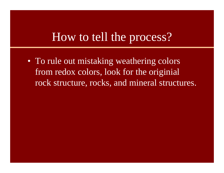## How to tell the process?

• To rule out mistaking weathering colors from redox colors, look for the originial rock structure, rocks, and mineral structures.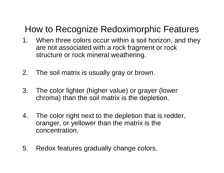#### How to Recognize Redoximorphic Features

- 1. When three colors occur within a soil horizon, and they are not associated with a rock fragment or rock structure or rock mineral weathering.
- 2. The soil matrix is usually gray or brown.
- 3. The color lighter (higher value) or grayer (lower chroma) than the soil matrix is the depletion.
- 4. The color right next to the depletion that is redder, oranger, or yellower than the matrix is the concentration.
- 5. Redox features gradually change colors.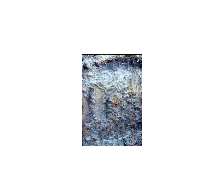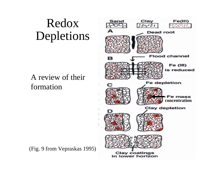# Redox Depletions

#### A review of their formation



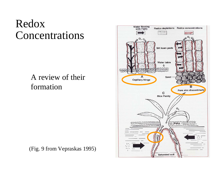### Redox Concentrations

#### A review of their formation

(Fig. 9 from Vepraskas 1995)

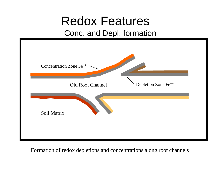### Redox Features Conc. and Depl. formation



Formation of redox depletions and concentrations along root channels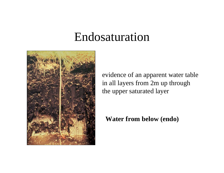## Endosaturation



evidence of an apparent water table in all layers from 2m up through the upper saturated layer

**Water from below (endo)**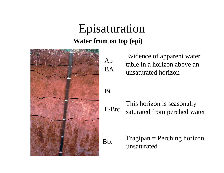### Episaturation **Water from on top (epi)**



$$
\begin{array}{c}\nAp \\
BA\n\end{array}
$$

Evidence of apparent water table in a horizon above an unsaturated horizon

#### Bt

E/BtcThis horizon is seasonallysaturated from perched water

Btx

Fragipan = Perching horizon, unsaturated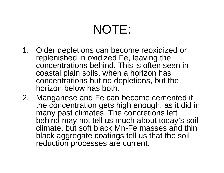# NOTE:

- 1. Older depletions can become reoxidized or replenished in oxidized Fe, leaving the concentrations behind. This is often seen in coastal plain soils, when a horizon has concentrations but no depletions, but the horizon below has both.
- 2. Manganese and Fe can become cemented if the concentration gets high enough, as it did in many past climates. The concretions left behind may not tell us much about today's soil climate, but soft black Mn-Fe masses and thin black aggregate coatings tell us that the soil reduction processes are current.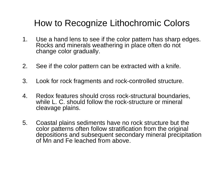#### How to Recognize Lithochromic Colors

- 1. Use a hand lens to see if the color pattern has sharp edges. Rocks and minerals weathering in place often do not change color gradually.
- 2. See if the color pattern can be extracted with a knife.
- 3. Look for rock fragments and rock-controlled structure.
- 4. Redox features should cross rock-structural boundaries, while L. C. should follow the rock-structure or mineral cleavage plains.
- 5. Coastal plains sediments have no rock structure but the color patterns often follow stratification from the original depositions and subsequent secondary mineral precipitation of Mn and Fe leached from above.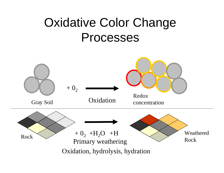# Oxidative Color Change Processes

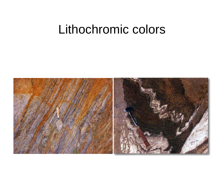# Lithochromic colors

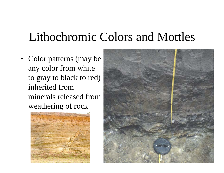## Lithochromic Colors and Mottles

• Color patterns (may be any color from white to gray to black to red) inherited from minerals released from weathering of rock